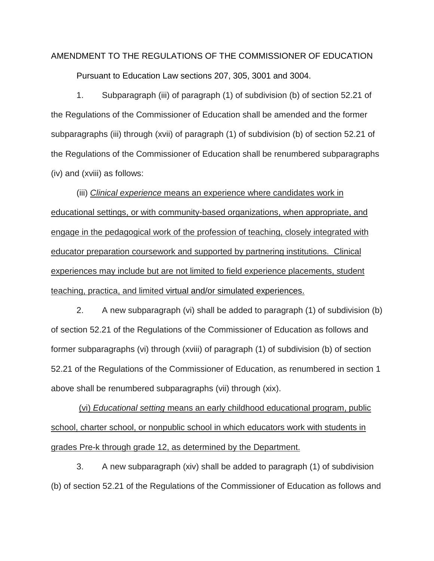## AMENDMENT TO THE REGULATIONS OF THE COMMISSIONER OF EDUCATION Pursuant to Education Law sections 207, 305, 3001 and 3004.

1. Subparagraph (iii) of paragraph (1) of subdivision (b) of section 52.21 of the Regulations of the Commissioner of Education shall be amended and the former subparagraphs (iii) through (xvii) of paragraph (1) of subdivision (b) of section 52.21 of the Regulations of the Commissioner of Education shall be renumbered subparagraphs (iv) and (xviii) as follows:

(iii) *Clinical experience* means an experience where candidates work in educational settings, or with community-based organizations, when appropriate, and engage in the pedagogical work of the profession of teaching, closely integrated with educator preparation coursework and supported by partnering institutions. Clinical experiences may include but are not limited to field experience placements, student teaching, practica, and limited virtual and/or simulated experiences.

2. A new subparagraph (vi) shall be added to paragraph (1) of subdivision (b) of section 52.21 of the Regulations of the Commissioner of Education as follows and former subparagraphs (vi) through (xviii) of paragraph (1) of subdivision (b) of section 52.21 of the Regulations of the Commissioner of Education, as renumbered in section 1 above shall be renumbered subparagraphs (vii) through (xix).

(vi) *Educational setting* means an early childhood educational program, public school, charter school, or nonpublic school in which educators work with students in grades Pre-k through grade 12, as determined by the Department.

3. A new subparagraph (xiv) shall be added to paragraph (1) of subdivision (b) of section 52.21 of the Regulations of the Commissioner of Education as follows and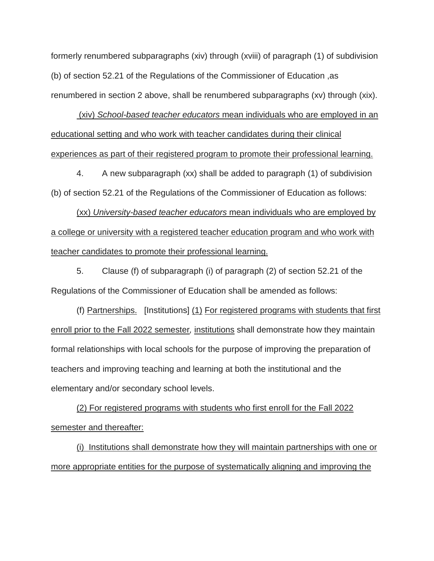formerly renumbered subparagraphs (xiv) through (xviii) of paragraph (1) of subdivision (b) of section 52.21 of the Regulations of the Commissioner of Education ,as renumbered in section 2 above, shall be renumbered subparagraphs (xv) through (xix).

(xiv) *School-based teacher educators* mean individuals who are employed in an educational setting and who work with teacher candidates during their clinical experiences as part of their registered program to promote their professional learning.

4. A new subparagraph (xx) shall be added to paragraph (1) of subdivision (b) of section 52.21 of the Regulations of the Commissioner of Education as follows:

(xx) *University-based teacher educators* mean individuals who are employed by a college or university with a registered teacher education program and who work with teacher candidates to promote their professional learning.

5. Clause (f) of subparagraph (i) of paragraph (2) of section 52.21 of the Regulations of the Commissioner of Education shall be amended as follows:

(f) Partnerships. [Institutions] (1) For registered programs with students that first enroll prior to the Fall 2022 semester*,* institutions shall demonstrate how they maintain formal relationships with local schools for the purpose of improving the preparation of teachers and improving teaching and learning at both the institutional and the elementary and/or secondary school levels.

(2) For registered programs with students who first enroll for the Fall 2022 semester and thereafter:

(i) Institutions shall demonstrate how they will maintain partnerships with one or more appropriate entities for the purpose of systematically aligning and improving the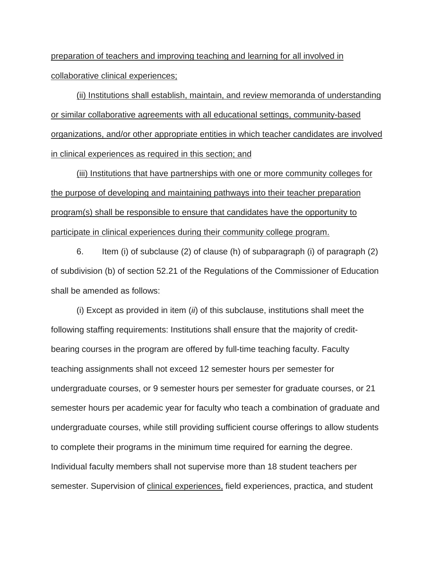preparation of teachers and improving teaching and learning for all involved in collaborative clinical experiences;

(ii) Institutions shall establish, maintain, and review memoranda of understanding or similar collaborative agreements with all educational settings, community-based organizations, and/or other appropriate entities in which teacher candidates are involved in clinical experiences as required in this section; and

(iii) Institutions that have partnerships with one or more community colleges for the purpose of developing and maintaining pathways into their teacher preparation program(s) shall be responsible to ensure that candidates have the opportunity to participate in clinical experiences during their community college program.

6. Item (i) of subclause (2) of clause (h) of subparagraph (i) of paragraph (2) of subdivision (b) of section 52.21 of the Regulations of the Commissioner of Education shall be amended as follows:

(i) Except as provided in item (*ii*) of this subclause, institutions shall meet the following staffing requirements: Institutions shall ensure that the majority of creditbearing courses in the program are offered by full-time teaching faculty. Faculty teaching assignments shall not exceed 12 semester hours per semester for undergraduate courses, or 9 semester hours per semester for graduate courses, or 21 semester hours per academic year for faculty who teach a combination of graduate and undergraduate courses, while still providing sufficient course offerings to allow students to complete their programs in the minimum time required for earning the degree. Individual faculty members shall not supervise more than 18 student teachers per semester. Supervision of clinical experiences, field experiences, practica, and student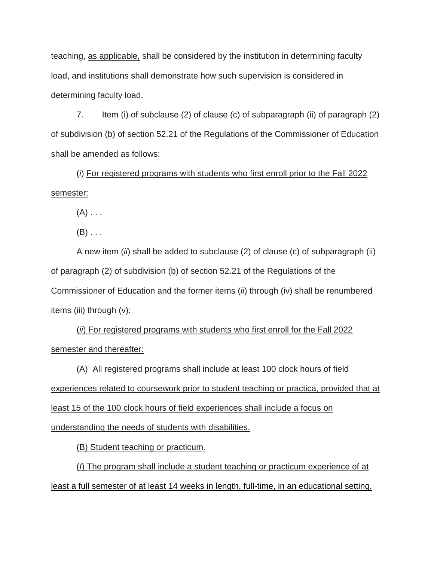teaching, as applicable, shall be considered by the institution in determining faculty load, and institutions shall demonstrate how such supervision is considered in determining faculty load.

7. Item (i) of subclause (2) of clause (c) of subparagraph (ii) of paragraph (2) of subdivision (b) of section 52.21 of the Regulations of the Commissioner of Education shall be amended as follows:

(*i*) For registered programs with students who first enroll prior to the Fall 2022 semester:

 $(A)$  . . .

 $(B)$ ...

A new item (*ii*) shall be added to subclause (2) of clause (c) of subparagraph (ii) of paragraph (2) of subdivision (b) of section 52.21 of the Regulations of the Commissioner of Education and the former items (*ii*) through (iv) shall be renumbered items (iii) through (v):

(*ii*) For registered programs with students who first enroll for the Fall 2022 semester and thereafter:

(A) All registered programs shall include at least 100 clock hours of field experiences related to coursework prior to student teaching or practica, provided that at least 15 of the 100 clock hours of field experiences shall include a focus on understanding the needs of students with disabilities.

(B) Student teaching or practicum.

(*I*) The program shall include a student teaching or practicum experience of at least a full semester of at least 14 weeks in length, full-time, in an educational setting,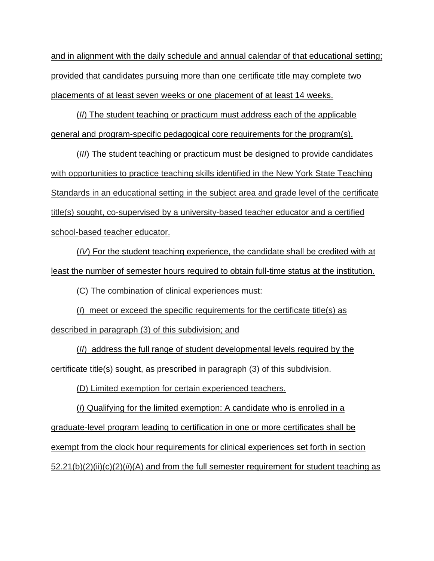and in alignment with the daily schedule and annual calendar of that educational setting; provided that candidates pursuing more than one certificate title may complete two placements of at least seven weeks or one placement of at least 14 weeks.

(*II*) The student teaching or practicum must address each of the applicable general and program-specific pedagogical core requirements for the program(s).

(*III*) The student teaching or practicum must be designed to provide candidates with opportunities to practice teaching skills identified in the New York State Teaching Standards in an educational setting in the subject area and grade level of the certificate title(s) sought, co-supervised by a university-based teacher educator and a certified school-based teacher educator.

(*IV*) For the student teaching experience, the candidate shall be credited with at least the number of semester hours required to obtain full-time status at the institution.

(C) The combination of clinical experiences must:

(*I*) meet or exceed the specific requirements for the certificate title(s) as described in paragraph (3) of this subdivision; and

(*II*) address the full range of student developmental levels required by the certificate title(s) sought, as prescribed in paragraph (3) of this subdivision.

(D) Limited exemption for certain experienced teachers.

(*I*) Qualifying for the limited exemption: A candidate who is enrolled in a graduate-level program leading to certification in one or more certificates shall be exempt from the clock hour requirements for clinical experiences set forth in section 52.21(b)(2)(ii)(c)(2)(*ii*)(A) and from the full semester requirement for student teaching as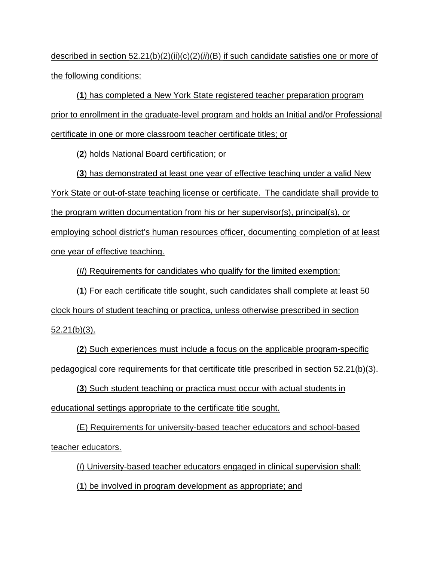described in section 52.21(b)(2)(ii)(c)(2)(*ii*)(B) if such candidate satisfies one or more of the following conditions:

(**1**) has completed a New York State registered teacher preparation program prior to enrollment in the graduate-level program and holds an Initial and/or Professional certificate in one or more classroom teacher certificate titles; or

(**2**) holds National Board certification; or

(**3**) has demonstrated at least one year of effective teaching under a valid New York State or out-of-state teaching license or certificate. The candidate shall provide to the program written documentation from his or her supervisor(s), principal(s), or employing school district's human resources officer, documenting completion of at least one year of effective teaching.

(*II*) Requirements for candidates who qualify for the limited exemption:

(**1**) For each certificate title sought, such candidates shall complete at least 50 clock hours of student teaching or practica, unless otherwise prescribed in section 52.21(b)(3).

(**2**) Such experiences must include a focus on the applicable program-specific pedagogical core requirements for that certificate title prescribed in section 52.21(b)(3).

(**3**) Such student teaching or practica must occur with actual students in educational settings appropriate to the certificate title sought.

(E) Requirements for university-based teacher educators and school-based teacher educators.

(*I*) University-based teacher educators engaged in clinical supervision shall: (**1**) be involved in program development as appropriate; and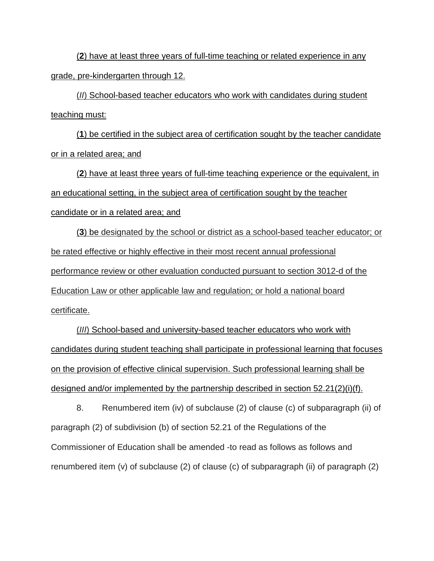(**2**) have at least three years of full-time teaching or related experience in any grade, pre-kindergarten through 12.

(*II*) School-based teacher educators who work with candidates during student teaching must:

(**1**) be certified in the subject area of certification sought by the teacher candidate or in a related area; and

(**2**) have at least three years of full-time teaching experience or the equivalent, in an educational setting, in the subject area of certification sought by the teacher candidate or in a related area; and

(**3**) be designated by the school or district as a school-based teacher educator; or be rated effective or highly effective in their most recent annual professional performance review or other evaluation conducted pursuant to section 3012-d of the Education Law or other applicable law and regulation; or hold a national board certificate.

(*III*) School-based and university-based teacher educators who work with candidates during student teaching shall participate in professional learning that focuses on the provision of effective clinical supervision. Such professional learning shall be designed and/or implemented by the partnership described in section 52.21(2)(i)(f).

8. Renumbered item (iv) of subclause (2) of clause (c) of subparagraph (ii) of paragraph (2) of subdivision (b) of section 52.21 of the Regulations of the Commissioner of Education shall be amended -to read as follows as follows and renumbered item (v) of subclause (2) of clause (c) of subparagraph (ii) of paragraph (2)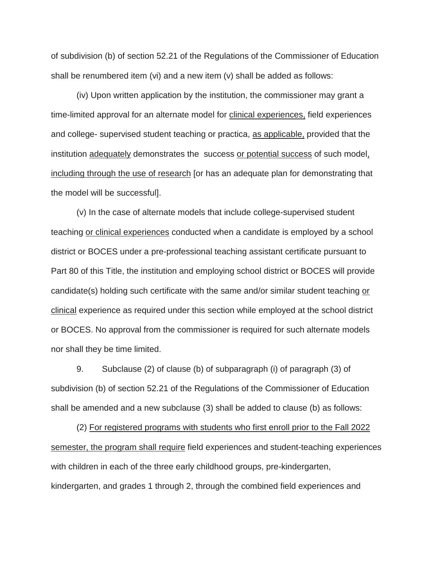of subdivision (b) of section 52.21 of the Regulations of the Commissioner of Education shall be renumbered item (vi) and a new item (v) shall be added as follows:

(iv) Upon written application by the institution, the commissioner may grant a time-limited approval for an alternate model for clinical experiences, field experiences and college- supervised student teaching or practica, as applicable, provided that the institution adequately demonstrates the success or potential success of such model, including through the use of research [or has an adequate plan for demonstrating that the model will be successful].

(v) In the case of alternate models that include college-supervised student teaching or clinical experiences conducted when a candidate is employed by a school district or BOCES under a pre-professional teaching assistant certificate pursuant to Part 80 of this Title, the institution and employing school district or BOCES will provide candidate(s) holding such certificate with the same and/or similar student teaching or clinical experience as required under this section while employed at the school district or BOCES. No approval from the commissioner is required for such alternate models nor shall they be time limited.

9. Subclause (2) of clause (b) of subparagraph (i) of paragraph (3) of subdivision (b) of section 52.21 of the Regulations of the Commissioner of Education shall be amended and a new subclause (3) shall be added to clause (b) as follows:

(2) For registered programs with students who first enroll prior to the Fall 2022 semester, the program shall require field experiences and student-teaching experiences with children in each of the three early childhood groups, pre-kindergarten, kindergarten, and grades 1 through 2, through the combined field experiences and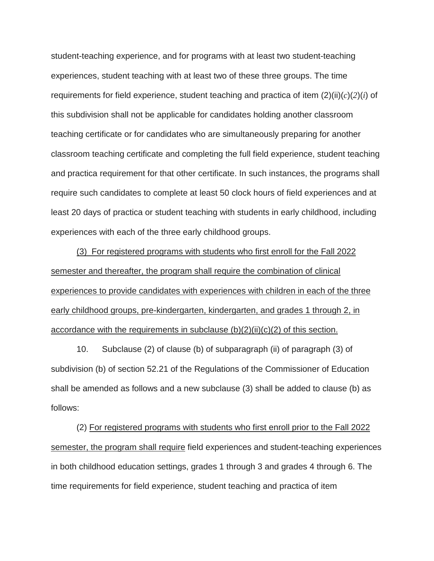student-teaching experience, and for programs with at least two student-teaching experiences, student teaching with at least two of these three groups. The time requirements for field experience, student teaching and practica of item (2)(ii)(*c*)(*2*)(*i*) of this subdivision shall not be applicable for candidates holding another classroom teaching certificate or for candidates who are simultaneously preparing for another classroom teaching certificate and completing the full field experience, student teaching and practica requirement for that other certificate. In such instances, the programs shall require such candidates to complete at least 50 clock hours of field experiences and at least 20 days of practica or student teaching with students in early childhood, including experiences with each of the three early childhood groups.

(3) For registered programs with students who first enroll for the Fall 2022 semester and thereafter, the program shall require the combination of clinical experiences to provide candidates with experiences with children in each of the three early childhood groups, pre-kindergarten, kindergarten, and grades 1 through 2, in accordance with the requirements in subclause  $(b)(2)(ii)(c)(2)$  of this section.

10. Subclause (2) of clause (b) of subparagraph (ii) of paragraph (3) of subdivision (b) of section 52.21 of the Regulations of the Commissioner of Education shall be amended as follows and a new subclause (3) shall be added to clause (b) as follows:

(2) For registered programs with students who first enroll prior to the Fall 2022 semester, the program shall require field experiences and student-teaching experiences in both childhood education settings, grades 1 through 3 and grades 4 through 6. The time requirements for field experience, student teaching and practica of item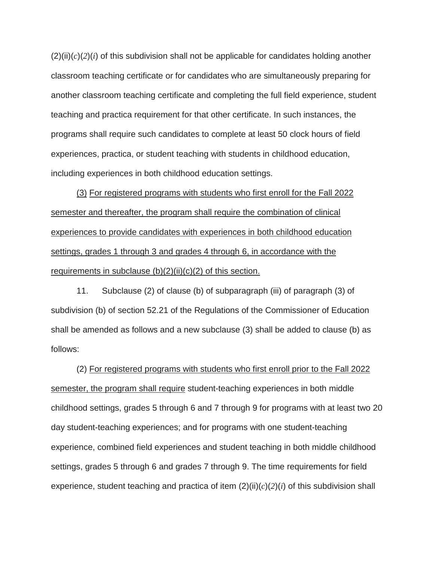$(2)(ii)(c)(2)(i)$  of this subdivision shall not be applicable for candidates holding another classroom teaching certificate or for candidates who are simultaneously preparing for another classroom teaching certificate and completing the full field experience, student teaching and practica requirement for that other certificate. In such instances, the programs shall require such candidates to complete at least 50 clock hours of field experiences, practica, or student teaching with students in childhood education, including experiences in both childhood education settings.

(3) For registered programs with students who first enroll for the Fall 2022 semester and thereafter, the program shall require the combination of clinical experiences to provide candidates with experiences in both childhood education settings, grades 1 through 3 and grades 4 through 6, in accordance with the requirements in subclause  $(b)(2)(ii)(c)(2)$  of this section.

11. Subclause (2) of clause (b) of subparagraph (iii) of paragraph (3) of subdivision (b) of section 52.21 of the Regulations of the Commissioner of Education shall be amended as follows and a new subclause (3) shall be added to clause (b) as follows:

(2) For registered programs with students who first enroll prior to the Fall 2022 semester, the program shall require student-teaching experiences in both middle childhood settings, grades 5 through 6 and 7 through 9 for programs with at least two 20 day student-teaching experiences; and for programs with one student-teaching experience, combined field experiences and student teaching in both middle childhood settings, grades 5 through 6 and grades 7 through 9. The time requirements for field experience, student teaching and practica of item (2)(ii)(*c*)(*2*)(*i*) of this subdivision shall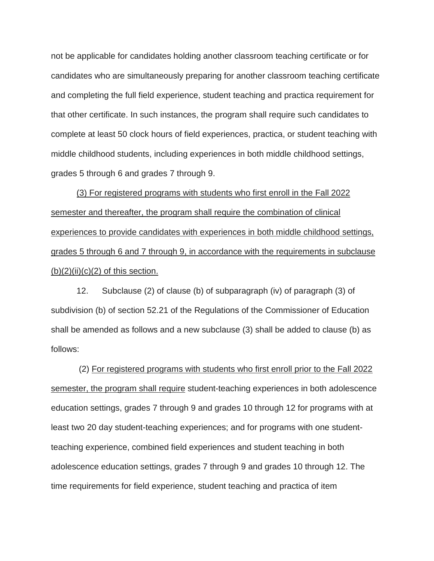not be applicable for candidates holding another classroom teaching certificate or for candidates who are simultaneously preparing for another classroom teaching certificate and completing the full field experience, student teaching and practica requirement for that other certificate. In such instances, the program shall require such candidates to complete at least 50 clock hours of field experiences, practica, or student teaching with middle childhood students, including experiences in both middle childhood settings, grades 5 through 6 and grades 7 through 9.

(3) For registered programs with students who first enroll in the Fall 2022 semester and thereafter, the program shall require the combination of clinical experiences to provide candidates with experiences in both middle childhood settings, grades 5 through 6 and 7 through 9, in accordance with the requirements in subclause  $(b)(2)(ii)(c)(2)$  of this section.

12. Subclause (2) of clause (b) of subparagraph (iv) of paragraph (3) of subdivision (b) of section 52.21 of the Regulations of the Commissioner of Education shall be amended as follows and a new subclause (3) shall be added to clause (b) as follows:

(2) For registered programs with students who first enroll prior to the Fall 2022 semester, the program shall require student-teaching experiences in both adolescence education settings, grades 7 through 9 and grades 10 through 12 for programs with at least two 20 day student-teaching experiences; and for programs with one studentteaching experience, combined field experiences and student teaching in both adolescence education settings, grades 7 through 9 and grades 10 through 12. The time requirements for field experience, student teaching and practica of item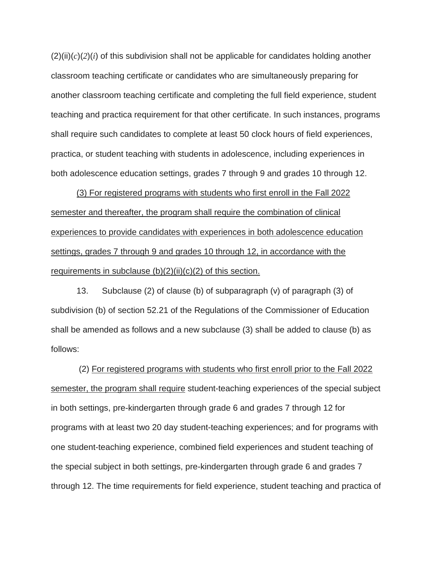$(2)(ii)(c)(2)(i)$  of this subdivision shall not be applicable for candidates holding another classroom teaching certificate or candidates who are simultaneously preparing for another classroom teaching certificate and completing the full field experience, student teaching and practica requirement for that other certificate. In such instances, programs shall require such candidates to complete at least 50 clock hours of field experiences, practica, or student teaching with students in adolescence, including experiences in both adolescence education settings, grades 7 through 9 and grades 10 through 12.

(3) For registered programs with students who first enroll in the Fall 2022 semester and thereafter, the program shall require the combination of clinical experiences to provide candidates with experiences in both adolescence education settings, grades 7 through 9 and grades 10 through 12, in accordance with the requirements in subclause  $(b)(2)(ii)(c)(2)$  of this section.

13. Subclause (2) of clause (b) of subparagraph (v) of paragraph (3) of subdivision (b) of section 52.21 of the Regulations of the Commissioner of Education shall be amended as follows and a new subclause (3) shall be added to clause (b) as follows:

(2) For registered programs with students who first enroll prior to the Fall 2022 semester, the program shall require student-teaching experiences of the special subject in both settings, pre-kindergarten through grade 6 and grades 7 through 12 for programs with at least two 20 day student-teaching experiences; and for programs with one student-teaching experience, combined field experiences and student teaching of the special subject in both settings, pre-kindergarten through grade 6 and grades 7 through 12. The time requirements for field experience, student teaching and practica of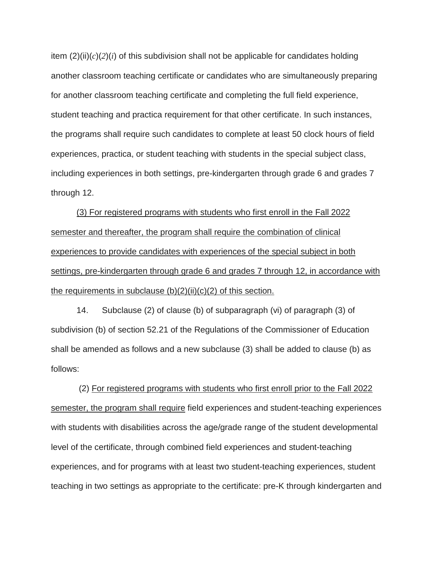item  $(2)(ii)(c)(2)(i)$  of this subdivision shall not be applicable for candidates holding another classroom teaching certificate or candidates who are simultaneously preparing for another classroom teaching certificate and completing the full field experience, student teaching and practica requirement for that other certificate. In such instances, the programs shall require such candidates to complete at least 50 clock hours of field experiences, practica, or student teaching with students in the special subject class, including experiences in both settings, pre-kindergarten through grade 6 and grades 7 through 12.

(3) For registered programs with students who first enroll in the Fall 2022 semester and thereafter, the program shall require the combination of clinical experiences to provide candidates with experiences of the special subject in both settings, pre-kindergarten through grade 6 and grades 7 through 12, in accordance with the requirements in subclause  $(b)(2)(ii)(c)(2)$  of this section.

14. Subclause (2) of clause (b) of subparagraph (vi) of paragraph (3) of subdivision (b) of section 52.21 of the Regulations of the Commissioner of Education shall be amended as follows and a new subclause (3) shall be added to clause (b) as follows:

(2) For registered programs with students who first enroll prior to the Fall 2022 semester, the program shall require field experiences and student-teaching experiences with students with disabilities across the age/grade range of the student developmental level of the certificate, through combined field experiences and student-teaching experiences, and for programs with at least two student-teaching experiences, student teaching in two settings as appropriate to the certificate: pre-K through kindergarten and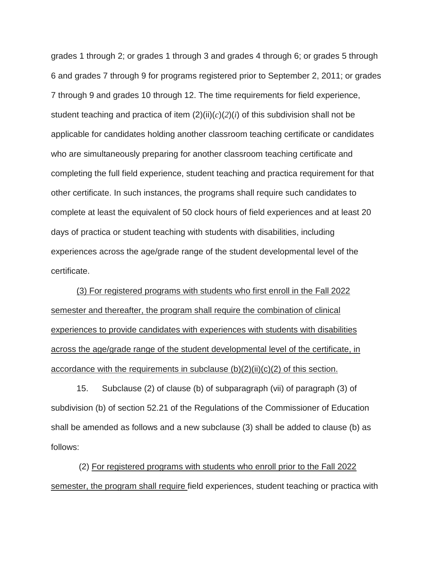grades 1 through 2; or grades 1 through 3 and grades 4 through 6; or grades 5 through 6 and grades 7 through 9 for programs registered prior to September 2, 2011; or grades 7 through 9 and grades 10 through 12. The time requirements for field experience, student teaching and practica of item  $(2)(ii)(c)(2)(i)$  of this subdivision shall not be applicable for candidates holding another classroom teaching certificate or candidates who are simultaneously preparing for another classroom teaching certificate and completing the full field experience, student teaching and practica requirement for that other certificate. In such instances, the programs shall require such candidates to complete at least the equivalent of 50 clock hours of field experiences and at least 20 days of practica or student teaching with students with disabilities, including experiences across the age/grade range of the student developmental level of the certificate.

(3) For registered programs with students who first enroll in the Fall 2022 semester and thereafter, the program shall require the combination of clinical experiences to provide candidates with experiences with students with disabilities across the age/grade range of the student developmental level of the certificate, in accordance with the requirements in subclause  $(b)(2)(ii)(c)(2)$  of this section.

15. Subclause (2) of clause (b) of subparagraph (vii) of paragraph (3) of subdivision (b) of section 52.21 of the Regulations of the Commissioner of Education shall be amended as follows and a new subclause (3) shall be added to clause (b) as follows:

(2) For registered programs with students who enroll prior to the Fall 2022 semester, the program shall require field experiences, student teaching or practica with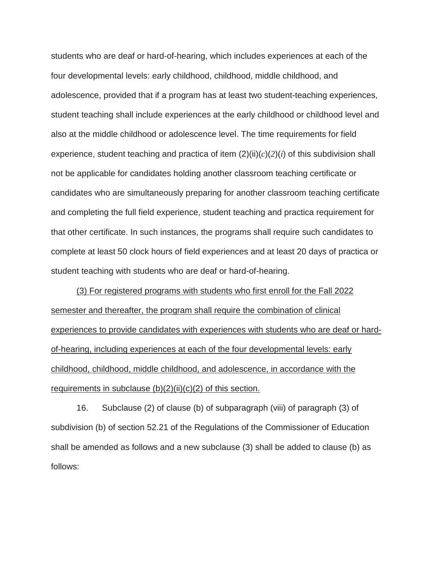students who are deaf or hard-of-hearing, which includes experiences at each of the four developmental levels: early childhood, childhood, middle childhood, and adolescence, provided that if a program has at least two student-teaching experiences, student teaching shall include experiences at the early childhood or childhood level and also at the middle childhood or adolescence level. The time requirements for field experience, student teaching and practica of item  $(2)(ii)(c)(2)(i)$  of this subdivision shall not be applicable for candidates holding another classroom teaching certificate or candidates who are simultaneously preparing for another classroom teaching certificate and completing the full field experience, student teaching and practica requirement for that other certificate. In such instances, the programs shall require such candidates to complete at least 50 clock hours of field experiences and at least 20 days of practica or student teaching with students who are deaf or hard-of-hearing.

(3) For registered programs with students who first enroll for the Fall 2022 semester and thereafter, the program shall require the combination of clinical experiences to provide candidates with experiences with students who are deaf or hardof-hearing, including experiences at each of the four developmental levels: early childhood, childhood, middle childhood, and adolescence, in accordance with the requirements in subclause  $(b)(2)(ii)(c)(2)$  of this section.

16. Subclause (2) of clause (b) of subparagraph (viii) of paragraph (3) of subdivision (b) of section 52.21 of the Regulations of the Commissioner of Education shall be amended as follows and a new subclause (3) shall be added to clause (b) as follows: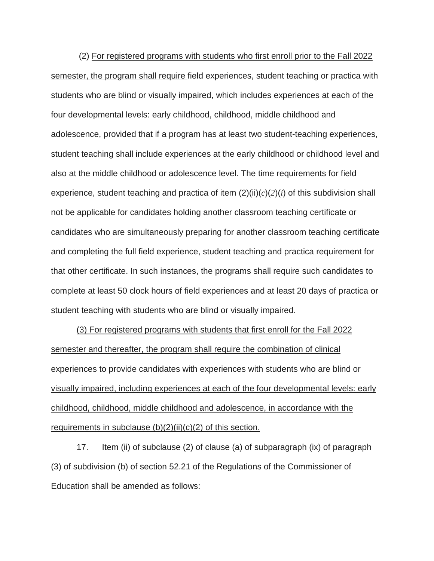(2) For registered programs with students who first enroll prior to the Fall 2022 semester, the program shall require field experiences, student teaching or practica with students who are blind or visually impaired, which includes experiences at each of the four developmental levels: early childhood, childhood, middle childhood and adolescence, provided that if a program has at least two student-teaching experiences, student teaching shall include experiences at the early childhood or childhood level and also at the middle childhood or adolescence level. The time requirements for field experience, student teaching and practica of item  $(2)(ii)(c)(2)(i)$  of this subdivision shall not be applicable for candidates holding another classroom teaching certificate or candidates who are simultaneously preparing for another classroom teaching certificate and completing the full field experience, student teaching and practica requirement for that other certificate. In such instances, the programs shall require such candidates to complete at least 50 clock hours of field experiences and at least 20 days of practica or student teaching with students who are blind or visually impaired.

(3) For registered programs with students that first enroll for the Fall 2022 semester and thereafter, the program shall require the combination of clinical experiences to provide candidates with experiences with students who are blind or visually impaired, including experiences at each of the four developmental levels: early childhood, childhood, middle childhood and adolescence, in accordance with the requirements in subclause  $(b)(2)(ii)(c)(2)$  of this section.

17. Item (ii) of subclause (2) of clause (a) of subparagraph (ix) of paragraph (3) of subdivision (b) of section 52.21 of the Regulations of the Commissioner of Education shall be amended as follows: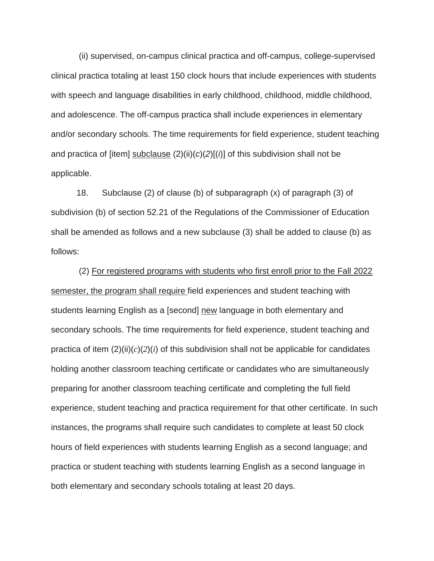(ii) supervised, on-campus clinical practica and off-campus, college-supervised clinical practica totaling at least 150 clock hours that include experiences with students with speech and language disabilities in early childhood, childhood, middle childhood, and adolescence. The off-campus practica shall include experiences in elementary and/or secondary schools. The time requirements for field experience, student teaching and practica of [item] subclause (2)(ii)(*c*)(*2*)[(*i*)] of this subdivision shall not be applicable.

18. Subclause (2) of clause (b) of subparagraph (x) of paragraph (3) of subdivision (b) of section 52.21 of the Regulations of the Commissioner of Education shall be amended as follows and a new subclause (3) shall be added to clause (b) as follows:

(2) For registered programs with students who first enroll prior to the Fall 2022 semester, the program shall require field experiences and student teaching with students learning English as a [second] new language in both elementary and secondary schools. The time requirements for field experience, student teaching and practica of item  $(2)(ii)(c)(2)(i)$  of this subdivision shall not be applicable for candidates holding another classroom teaching certificate or candidates who are simultaneously preparing for another classroom teaching certificate and completing the full field experience, student teaching and practica requirement for that other certificate. In such instances, the programs shall require such candidates to complete at least 50 clock hours of field experiences with students learning English as a second language; and practica or student teaching with students learning English as a second language in both elementary and secondary schools totaling at least 20 days.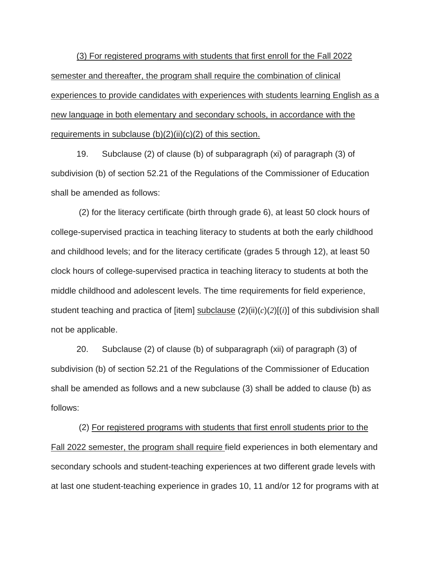(3) For registered programs with students that first enroll for the Fall 2022 semester and thereafter, the program shall require the combination of clinical experiences to provide candidates with experiences with students learning English as a new language in both elementary and secondary schools, in accordance with the requirements in subclause  $(b)(2)(ii)(c)(2)$  of this section.

19. Subclause (2) of clause (b) of subparagraph (xi) of paragraph (3) of subdivision (b) of section 52.21 of the Regulations of the Commissioner of Education shall be amended as follows:

(2) for the literacy certificate (birth through grade 6), at least 50 clock hours of college-supervised practica in teaching literacy to students at both the early childhood and childhood levels; and for the literacy certificate (grades 5 through 12), at least 50 clock hours of college-supervised practica in teaching literacy to students at both the middle childhood and adolescent levels. The time requirements for field experience, student teaching and practica of [item] subclause (2)(ii)(*c*)(*2*)[(*i*)] of this subdivision shall not be applicable.

20. Subclause (2) of clause (b) of subparagraph (xii) of paragraph (3) of subdivision (b) of section 52.21 of the Regulations of the Commissioner of Education shall be amended as follows and a new subclause (3) shall be added to clause (b) as follows:

(2) For registered programs with students that first enroll students prior to the Fall 2022 semester, the program shall require field experiences in both elementary and secondary schools and student-teaching experiences at two different grade levels with at last one student-teaching experience in grades 10, 11 and/or 12 for programs with at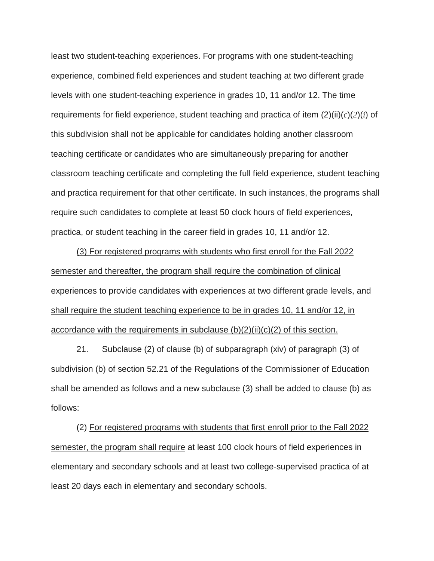least two student-teaching experiences. For programs with one student-teaching experience, combined field experiences and student teaching at two different grade levels with one student-teaching experience in grades 10, 11 and/or 12. The time requirements for field experience, student teaching and practica of item (2)(ii)(*c*)(*2*)(*i*) of this subdivision shall not be applicable for candidates holding another classroom teaching certificate or candidates who are simultaneously preparing for another classroom teaching certificate and completing the full field experience, student teaching and practica requirement for that other certificate. In such instances, the programs shall require such candidates to complete at least 50 clock hours of field experiences, practica, or student teaching in the career field in grades 10, 11 and/or 12.

(3) For registered programs with students who first enroll for the Fall 2022 semester and thereafter, the program shall require the combination of clinical experiences to provide candidates with experiences at two different grade levels, and shall require the student teaching experience to be in grades 10, 11 and/or 12, in accordance with the requirements in subclause  $(b)(2)(ii)(c)(2)$  of this section.

21. Subclause (2) of clause (b) of subparagraph (xiv) of paragraph (3) of subdivision (b) of section 52.21 of the Regulations of the Commissioner of Education shall be amended as follows and a new subclause (3) shall be added to clause (b) as follows:

(2) For registered programs with students that first enroll prior to the Fall 2022 semester, the program shall require at least 100 clock hours of field experiences in elementary and secondary schools and at least two college-supervised practica of at least 20 days each in elementary and secondary schools.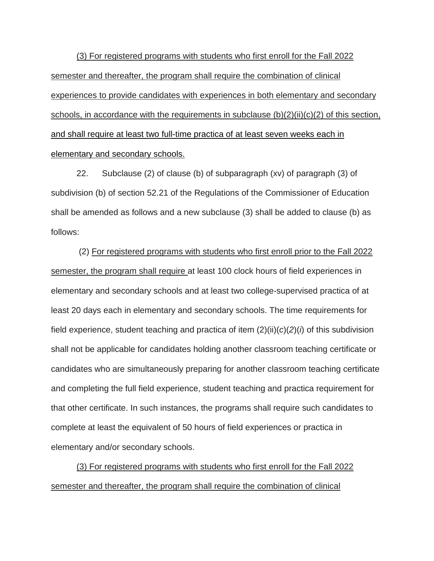(3) For registered programs with students who first enroll for the Fall 2022 semester and thereafter, the program shall require the combination of clinical experiences to provide candidates with experiences in both elementary and secondary schools, in accordance with the requirements in subclause  $(b)(2)(ii)(c)(2)$  of this section, and shall require at least two full-time practica of at least seven weeks each in elementary and secondary schools.

22. Subclause (2) of clause (b) of subparagraph (xv) of paragraph (3) of subdivision (b) of section 52.21 of the Regulations of the Commissioner of Education shall be amended as follows and a new subclause (3) shall be added to clause (b) as follows:

(2) For registered programs with students who first enroll prior to the Fall 2022 semester, the program shall require at least 100 clock hours of field experiences in elementary and secondary schools and at least two college-supervised practica of at least 20 days each in elementary and secondary schools. The time requirements for field experience, student teaching and practica of item (2)(ii)(*c*)(*2*)(*i*) of this subdivision shall not be applicable for candidates holding another classroom teaching certificate or candidates who are simultaneously preparing for another classroom teaching certificate and completing the full field experience, student teaching and practica requirement for that other certificate. In such instances, the programs shall require such candidates to complete at least the equivalent of 50 hours of field experiences or practica in elementary and/or secondary schools.

(3) For registered programs with students who first enroll for the Fall 2022 semester and thereafter, the program shall require the combination of clinical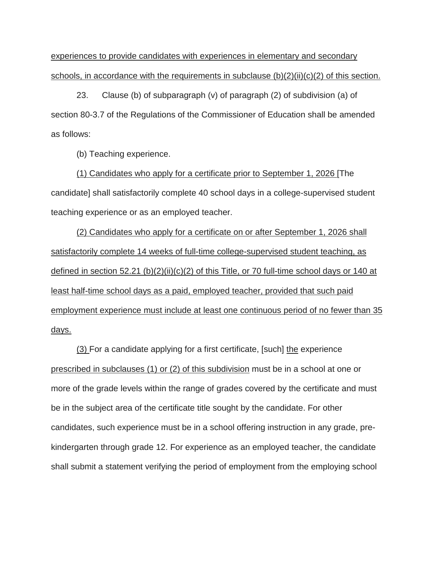experiences to provide candidates with experiences in elementary and secondary schools, in accordance with the requirements in subclause  $(b)(2)(ii)(c)(2)$  of this section.

23. Clause (b) of subparagraph (v) of paragraph (2) of subdivision (a) of section 80-3.7 of the Regulations of the Commissioner of Education shall be amended as follows:

(b) Teaching experience.

(1) Candidates who apply for a certificate prior to September 1, 2026 [The candidate] shall satisfactorily complete 40 school days in a college-supervised student teaching experience or as an employed teacher.

(2) Candidates who apply for a certificate on or after September 1, 2026 shall satisfactorily complete 14 weeks of full-time college-supervised student teaching, as defined in section 52.21 (b)(2)(ii)(c)(2) of this Title, or 70 full-time school days or 140 at least half-time school days as a paid, employed teacher, provided that such paid employment experience must include at least one continuous period of no fewer than 35 days.

(3) For a candidate applying for a first certificate, [such] the experience prescribed in subclauses (1) or (2) of this subdivision must be in a school at one or more of the grade levels within the range of grades covered by the certificate and must be in the subject area of the certificate title sought by the candidate. For other candidates, such experience must be in a school offering instruction in any grade, prekindergarten through grade 12. For experience as an employed teacher, the candidate shall submit a statement verifying the period of employment from the employing school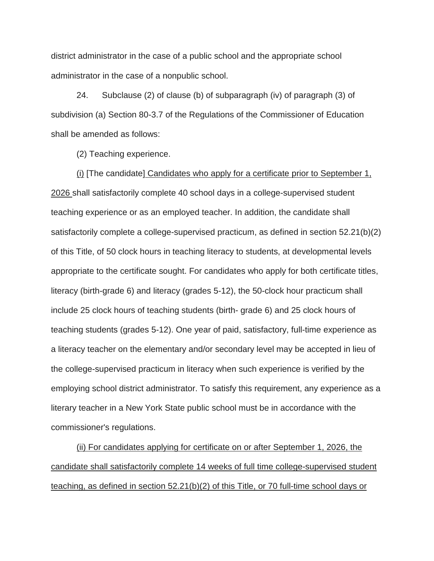district administrator in the case of a public school and the appropriate school administrator in the case of a nonpublic school.

24. Subclause (2) of clause (b) of subparagraph (iv) of paragraph (3) of subdivision (a) Section 80-3.7 of the Regulations of the Commissioner of Education shall be amended as follows:

(2) Teaching experience.

(i) [The candidate] Candidates who apply for a certificate prior to September 1, 2026 shall satisfactorily complete 40 school days in a college-supervised student teaching experience or as an employed teacher. In addition, the candidate shall satisfactorily complete a college-supervised practicum, as defined in section 52.21(b)(2) of this Title, of 50 clock hours in teaching literacy to students, at developmental levels appropriate to the certificate sought. For candidates who apply for both certificate titles, literacy (birth-grade 6) and literacy (grades 5-12), the 50-clock hour practicum shall include 25 clock hours of teaching students (birth- grade 6) and 25 clock hours of teaching students (grades 5-12). One year of paid, satisfactory, full-time experience as a literacy teacher on the elementary and/or secondary level may be accepted in lieu of the college-supervised practicum in literacy when such experience is verified by the employing school district administrator. To satisfy this requirement, any experience as a literary teacher in a New York State public school must be in accordance with the commissioner's regulations.

(ii) For candidates applying for certificate on or after September 1, 2026, the candidate shall satisfactorily complete 14 weeks of full time college-supervised student teaching, as defined in section 52.21(b)(2) of this Title, or 70 full-time school days or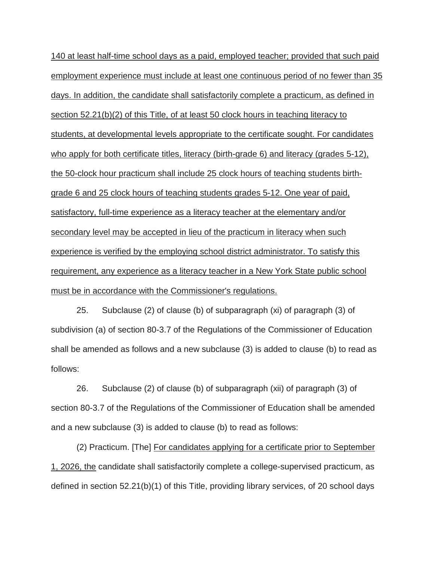140 at least half-time school days as a paid, employed teacher; provided that such paid employment experience must include at least one continuous period of no fewer than 35 days. In addition, the candidate shall satisfactorily complete a practicum, as defined in section 52.21(b)(2) of this Title, of at least 50 clock hours in teaching literacy to students, at developmental levels appropriate to the certificate sought. For candidates who apply for both certificate titles, literacy (birth-grade 6) and literacy (grades 5-12), the 50-clock hour practicum shall include 25 clock hours of teaching students birthgrade 6 and 25 clock hours of teaching students grades 5-12. One year of paid, satisfactory, full-time experience as a literacy teacher at the elementary and/or secondary level may be accepted in lieu of the practicum in literacy when such experience is verified by the employing school district administrator. To satisfy this requirement, any experience as a literacy teacher in a New York State public school must be in accordance with the Commissioner's regulations.

25. Subclause (2) of clause (b) of subparagraph (xi) of paragraph (3) of subdivision (a) of section 80-3.7 of the Regulations of the Commissioner of Education shall be amended as follows and a new subclause (3) is added to clause (b) to read as follows:

26. Subclause (2) of clause (b) of subparagraph (xii) of paragraph (3) of section 80-3.7 of the Regulations of the Commissioner of Education shall be amended and a new subclause (3) is added to clause (b) to read as follows:

(2) Practicum. [The] For candidates applying for a certificate prior to September 1, 2026, the candidate shall satisfactorily complete a college-supervised practicum, as defined in section 52.21(b)(1) of this Title, providing library services, of 20 school days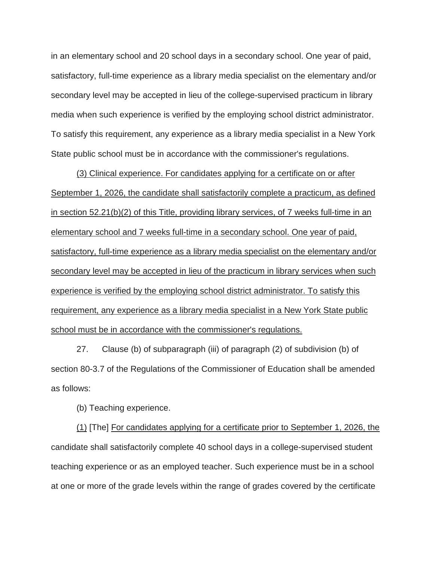in an elementary school and 20 school days in a secondary school. One year of paid, satisfactory, full-time experience as a library media specialist on the elementary and/or secondary level may be accepted in lieu of the college-supervised practicum in library media when such experience is verified by the employing school district administrator. To satisfy this requirement, any experience as a library media specialist in a New York State public school must be in accordance with the commissioner's regulations.

(3) Clinical experience. For candidates applying for a certificate on or after September 1, 2026, the candidate shall satisfactorily complete a practicum, as defined in section 52.21(b)(2) of this Title, providing library services, of 7 weeks full-time in an elementary school and 7 weeks full-time in a secondary school. One year of paid, satisfactory, full-time experience as a library media specialist on the elementary and/or secondary level may be accepted in lieu of the practicum in library services when such experience is verified by the employing school district administrator. To satisfy this requirement, any experience as a library media specialist in a New York State public school must be in accordance with the commissioner's regulations.

27. Clause (b) of subparagraph (iii) of paragraph (2) of subdivision (b) of section 80-3.7 of the Regulations of the Commissioner of Education shall be amended as follows:

(b) Teaching experience.

(1) [The] For candidates applying for a certificate prior to September 1, 2026, the candidate shall satisfactorily complete 40 school days in a college-supervised student teaching experience or as an employed teacher. Such experience must be in a school at one or more of the grade levels within the range of grades covered by the certificate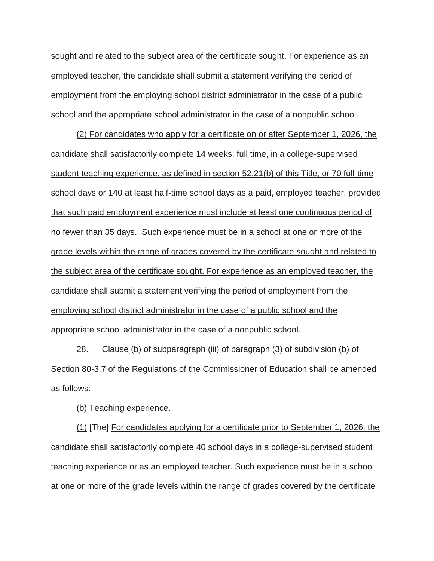sought and related to the subject area of the certificate sought. For experience as an employed teacher, the candidate shall submit a statement verifying the period of employment from the employing school district administrator in the case of a public school and the appropriate school administrator in the case of a nonpublic school.

(2) For candidates who apply for a certificate on or after September 1, 2026, the candidate shall satisfactorily complete 14 weeks, full time, in a college-supervised student teaching experience, as defined in section 52.21(b) of this Title, or 70 full-time school days or 140 at least half-time school days as a paid, employed teacher, provided that such paid employment experience must include at least one continuous period of no fewer than 35 days. Such experience must be in a school at one or more of the grade levels within the range of grades covered by the certificate sought and related to the subject area of the certificate sought. For experience as an employed teacher, the candidate shall submit a statement verifying the period of employment from the employing school district administrator in the case of a public school and the appropriate school administrator in the case of a nonpublic school.

28. Clause (b) of subparagraph (iii) of paragraph (3) of subdivision (b) of Section 80-3.7 of the Regulations of the Commissioner of Education shall be amended as follows:

(b) Teaching experience.

(1) [The] For candidates applying for a certificate prior to September 1, 2026, the candidate shall satisfactorily complete 40 school days in a college-supervised student teaching experience or as an employed teacher. Such experience must be in a school at one or more of the grade levels within the range of grades covered by the certificate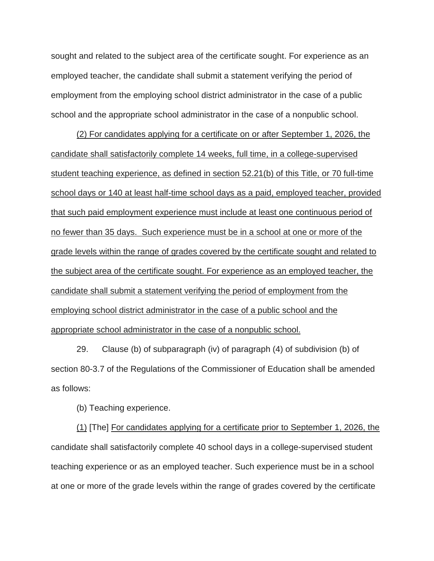sought and related to the subject area of the certificate sought. For experience as an employed teacher, the candidate shall submit a statement verifying the period of employment from the employing school district administrator in the case of a public school and the appropriate school administrator in the case of a nonpublic school.

(2) For candidates applying for a certificate on or after September 1, 2026, the candidate shall satisfactorily complete 14 weeks, full time, in a college-supervised student teaching experience, as defined in section 52.21(b) of this Title, or 70 full-time school days or 140 at least half-time school days as a paid, employed teacher, provided that such paid employment experience must include at least one continuous period of no fewer than 35 days. Such experience must be in a school at one or more of the grade levels within the range of grades covered by the certificate sought and related to the subject area of the certificate sought. For experience as an employed teacher, the candidate shall submit a statement verifying the period of employment from the employing school district administrator in the case of a public school and the appropriate school administrator in the case of a nonpublic school.

29. Clause (b) of subparagraph (iv) of paragraph (4) of subdivision (b) of section 80-3.7 of the Regulations of the Commissioner of Education shall be amended as follows:

(b) Teaching experience.

(1) [The] For candidates applying for a certificate prior to September 1, 2026, the candidate shall satisfactorily complete 40 school days in a college-supervised student teaching experience or as an employed teacher. Such experience must be in a school at one or more of the grade levels within the range of grades covered by the certificate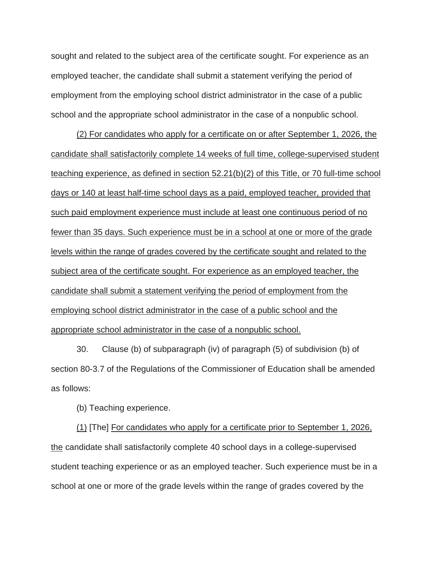sought and related to the subject area of the certificate sought. For experience as an employed teacher, the candidate shall submit a statement verifying the period of employment from the employing school district administrator in the case of a public school and the appropriate school administrator in the case of a nonpublic school.

(2) For candidates who apply for a certificate on or after September 1, 2026, the candidate shall satisfactorily complete 14 weeks of full time, college-supervised student teaching experience, as defined in section 52.21(b)(2) of this Title, or 70 full-time school days or 140 at least half-time school days as a paid, employed teacher, provided that such paid employment experience must include at least one continuous period of no fewer than 35 days. Such experience must be in a school at one or more of the grade levels within the range of grades covered by the certificate sought and related to the subject area of the certificate sought. For experience as an employed teacher, the candidate shall submit a statement verifying the period of employment from the employing school district administrator in the case of a public school and the appropriate school administrator in the case of a nonpublic school.

30. Clause (b) of subparagraph (iv) of paragraph (5) of subdivision (b) of section 80-3.7 of the Regulations of the Commissioner of Education shall be amended as follows:

(b) Teaching experience.

(1) [The] For candidates who apply for a certificate prior to September 1, 2026, the candidate shall satisfactorily complete 40 school days in a college-supervised student teaching experience or as an employed teacher. Such experience must be in a school at one or more of the grade levels within the range of grades covered by the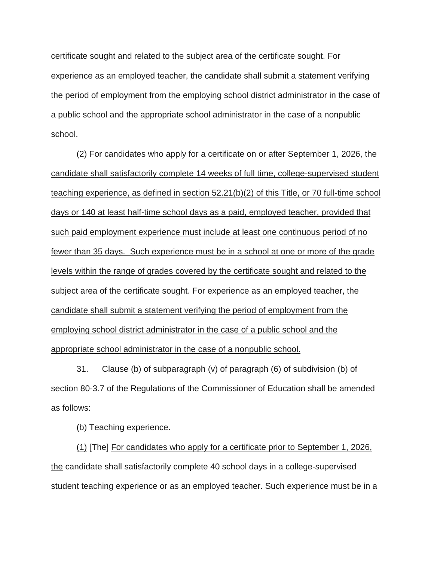certificate sought and related to the subject area of the certificate sought. For experience as an employed teacher, the candidate shall submit a statement verifying the period of employment from the employing school district administrator in the case of a public school and the appropriate school administrator in the case of a nonpublic school.

(2) For candidates who apply for a certificate on or after September 1, 2026, the candidate shall satisfactorily complete 14 weeks of full time, college-supervised student teaching experience, as defined in section 52.21(b)(2) of this Title, or 70 full-time school days or 140 at least half-time school days as a paid, employed teacher, provided that such paid employment experience must include at least one continuous period of no fewer than 35 days. Such experience must be in a school at one or more of the grade levels within the range of grades covered by the certificate sought and related to the subject area of the certificate sought. For experience as an employed teacher, the candidate shall submit a statement verifying the period of employment from the employing school district administrator in the case of a public school and the appropriate school administrator in the case of a nonpublic school.

31. Clause (b) of subparagraph (v) of paragraph (6) of subdivision (b) of section 80-3.7 of the Regulations of the Commissioner of Education shall be amended as follows:

(b) Teaching experience.

(1) [The] For candidates who apply for a certificate prior to September 1, 2026, the candidate shall satisfactorily complete 40 school days in a college-supervised student teaching experience or as an employed teacher. Such experience must be in a